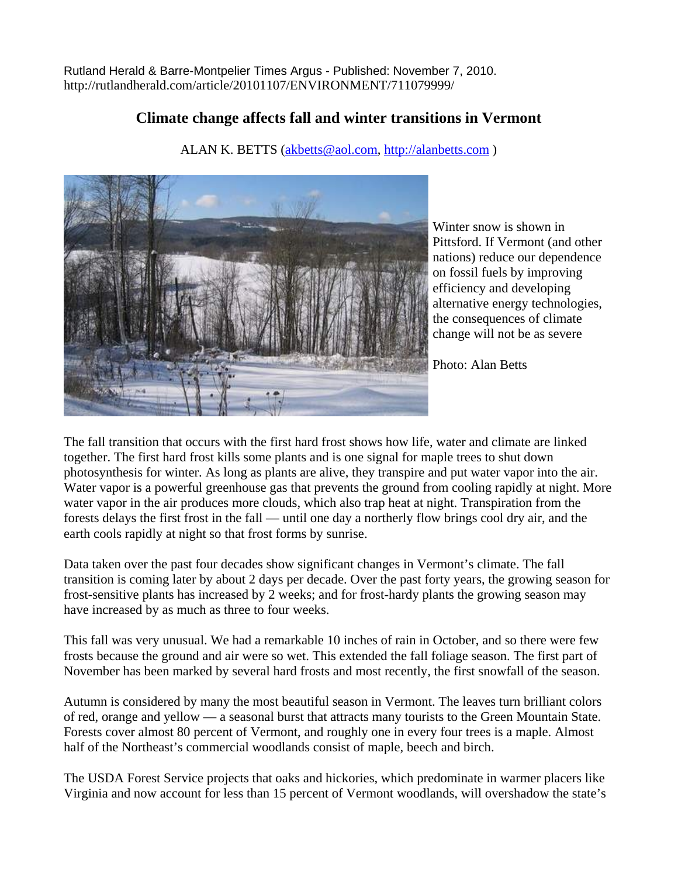Rutland Herald & Barre-Montpelier Times Argus - Published: November 7, 2010. http://rutlandherald.com/article/20101107/ENVIRONMENT/711079999/

## **Climate change affects fall and winter transitions in Vermont**

ALAN K. BETTS ([akbetts@aol.com](mailto:akbetts@aol.com), [http://alanbetts.com](http://alanbetts.com/) )



Winter snow is shown in Pittsford. If Vermont (and other nations) reduce our dependence on fossil fuels by improving efficiency and developing alternative energy technologies, the consequences of climate change will not be as severe

Photo: Alan Betts

The fall transition that occurs with the first hard frost shows how life, water and climate are linked together. The first hard frost kills some plants and is one signal for maple trees to shut down photosynthesis for winter. As long as plants are alive, they transpire and put water vapor into the air. Water vapor is a powerful greenhouse gas that prevents the ground from cooling rapidly at night. More water vapor in the air produces more clouds, which also trap heat at night. Transpiration from the forests delays the first frost in the fall — until one day a northerly flow brings cool dry air, and the earth cools rapidly at night so that frost forms by sunrise.

Data taken over the past four decades show significant changes in Vermont's climate. The fall transition is coming later by about 2 days per decade. Over the past forty years, the growing season for frost-sensitive plants has increased by 2 weeks; and for frost-hardy plants the growing season may have increased by as much as three to four weeks.

This fall was very unusual. We had a remarkable 10 inches of rain in October, and so there were few frosts because the ground and air were so wet. This extended the fall foliage season. The first part of November has been marked by several hard frosts and most recently, the first snowfall of the season.

Autumn is considered by many the most beautiful season in Vermont. The leaves turn brilliant colors of red, orange and yellow — a seasonal burst that attracts many tourists to the Green Mountain State. Forests cover almost 80 percent of Vermont, and roughly one in every four trees is a maple. Almost half of the Northeast's commercial woodlands consist of maple, beech and birch.

The USDA Forest Service projects that oaks and hickories, which predominate in warmer placers like Virginia and now account for less than 15 percent of Vermont woodlands, will overshadow the state's